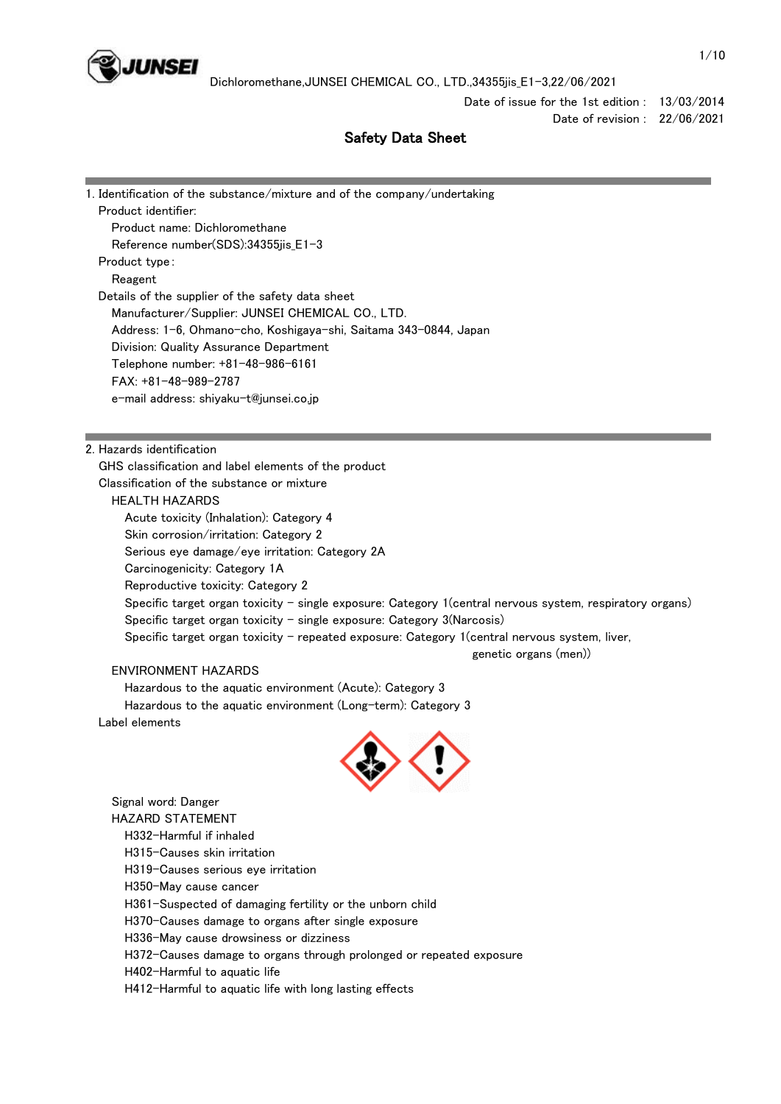

Date of issue for the 1st edition : 13/03/2014

Date of revision : 22/06/2021

# Safety Data Sheet

| 1. Identification of the substance/mixture and of the company/undertaking |  |  |  |  |  |
|---------------------------------------------------------------------------|--|--|--|--|--|
| Product identifier:                                                       |  |  |  |  |  |
| Product name: Dichloromethane                                             |  |  |  |  |  |
| Reference number(SDS):34355jis_E1-3                                       |  |  |  |  |  |
| Product type:                                                             |  |  |  |  |  |
| Reagent                                                                   |  |  |  |  |  |
| Details of the supplier of the safety data sheet                          |  |  |  |  |  |
| Manufacturer/Supplier: JUNSEI CHEMICAL CO., LTD.                          |  |  |  |  |  |
| Address: 1-6, Ohmano-cho, Koshigaya-shi, Saitama 343-0844, Japan          |  |  |  |  |  |
| Division: Quality Assurance Department                                    |  |  |  |  |  |
| Telephone number: +81-48-986-6161                                         |  |  |  |  |  |
| $FAX: +81-48-989-2787$                                                    |  |  |  |  |  |
| e-mail address: shiyaku-t@junsei.co.jp                                    |  |  |  |  |  |
|                                                                           |  |  |  |  |  |
|                                                                           |  |  |  |  |  |
| 2. Hazards identification                                                 |  |  |  |  |  |
| GHS classification and label elements of the product                      |  |  |  |  |  |
| Classification of the substance or mixture                                |  |  |  |  |  |
| HEALTH HAZARDS                                                            |  |  |  |  |  |
| Acute toxicity (Inhalation): Category 4                                   |  |  |  |  |  |

te toxicity (Inhalation): Category 4 Skin corrosion/irritation: Category 2 Serious eye damage/eye irritation: Category 2A Carcinogenicity: Category 1A Reproductive toxicity: Category 2 Specific target organ toxicity - single exposure: Category 1(central nervous system, respiratory organs) Specific target organ toxicity - single exposure: Category 3(Narcosis) Specific target organ toxicity - repeated exposure: Category 1(central nervous system, liver, genetic organs (men))

## ENVIRONMENT HAZARDS

Hazardous to the aquatic environment (Acute): Category 3

 Hazardous to the aquatic environment (Long-term): Category 3 Label elements



 Signal word: Danger HAZARD STATEMENT H332-Harmful if inhaled H315-Causes skin irritation H319-Causes serious eye irritation H350-May cause cancer H361-Suspected of damaging fertility or the unborn child H370-Causes damage to organs after single exposure H336-May cause drowsiness or dizziness H372-Causes damage to organs through prolonged or repeated exposure H402-Harmful to aquatic life H412-Harmful to aquatic life with long lasting effects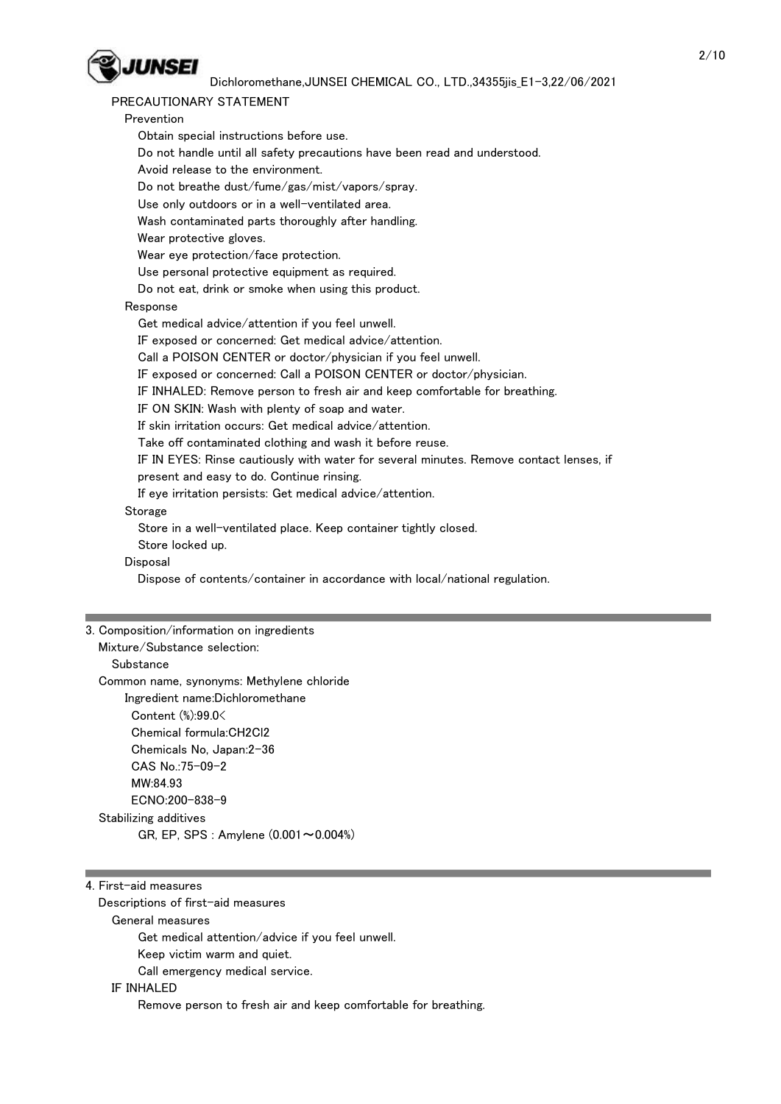

# PRECAUTIONARY STATEMENT

| INLUAD HUNAINI STATLIMLINI                                                             |
|----------------------------------------------------------------------------------------|
| Prevention                                                                             |
| Obtain special instructions before use.                                                |
| Do not handle until all safety precautions have been read and understood.              |
| Avoid release to the environment.                                                      |
| Do not breathe dust/fume/gas/mist/vapors/spray.                                        |
| Use only outdoors or in a well-ventilated area.                                        |
| Wash contaminated parts thoroughly after handling.                                     |
| Wear protective gloves.                                                                |
| Wear eye protection/face protection.                                                   |
| Use personal protective equipment as required.                                         |
| Do not eat, drink or smoke when using this product.                                    |
| Response                                                                               |
| Get medical advice/attention if you feel unwell.                                       |
| IF exposed or concerned: Get medical advice/attention.                                 |
| Call a POISON CENTER or doctor/physician if you feel unwell.                           |
| IF exposed or concerned: Call a POISON CENTER or doctor/physician.                     |
| IF INHALED: Remove person to fresh air and keep comfortable for breathing.             |
| IF ON SKIN: Wash with plenty of soap and water.                                        |
| If skin irritation occurs: Get medical advice/attention.                               |
| Take off contaminated clothing and wash it before reuse.                               |
| IF IN EYES: Rinse cautiously with water for several minutes. Remove contact lenses, if |
| present and easy to do. Continue rinsing.                                              |
| If eye irritation persists: Get medical advice/attention.                              |
| Storage                                                                                |
| Store in a well-ventilated place. Keep container tightly closed.                       |
| Store locked up.                                                                       |
| Disposal                                                                               |
| Dispose of contents/container in accordance with local/national regulation.            |
|                                                                                        |
|                                                                                        |
| 3. Composition/information on ingredients                                              |
| Mixture/Substance selection:                                                           |
| Substance                                                                              |
| Common name, synonyms: Methylene chloride                                              |
| Ingredient name:Dichloromethane                                                        |
| Content (%):99.0<                                                                      |
|                                                                                        |

 Content (%):99.0< Chemical formula:CH2Cl2 Chemicals No, Japan:2-36 CAS No.:75-09-2 MW:84.93 ECNO:200-838-9 Stabilizing additives GR, EP, SPS : Amylene (0.001~0.004%)

|  | 4. First-aid measures |
|--|-----------------------|
|  |                       |

Descriptions of first-aid measures

General measures

Get medical attention/advice if you feel unwell.

Keep victim warm and quiet.

Call emergency medical service.

## IF INHALED

Remove person to fresh air and keep comfortable for breathing.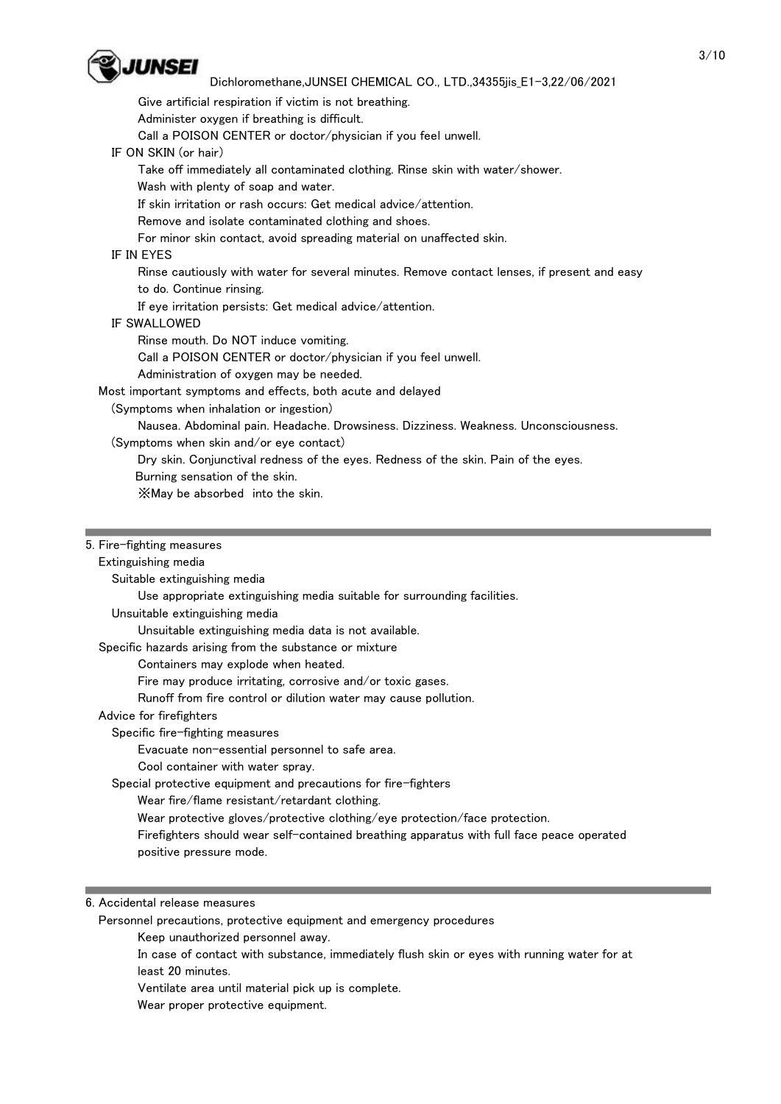

Give artificial respiration if victim is not breathing.

Administer oxygen if breathing is difficult.

Call a POISON CENTER or doctor/physician if you feel unwell.

IF ON SKIN (or hair)

Take off immediately all contaminated clothing. Rinse skin with water/shower.

Wash with plenty of soap and water.

If skin irritation or rash occurs: Get medical advice/attention.

Remove and isolate contaminated clothing and shoes.

For minor skin contact, avoid spreading material on unaffected skin.

## IF IN EYES

 Rinse cautiously with water for several minutes. Remove contact lenses, if present and easy to do. Continue rinsing.

If eye irritation persists: Get medical advice/attention.

#### IF SWALLOWED

Rinse mouth. Do NOT induce vomiting.

Call a POISON CENTER or doctor/physician if you feel unwell.

Administration of oxygen may be needed.

Most important symptoms and effects, both acute and delayed

(Symptoms when inhalation or ingestion)

Nausea. Abdominal pain. Headache. Drowsiness. Dizziness. Weakness. Unconsciousness.

(Symptoms when skin and/or eye contact)

Dry skin. Conjunctival redness of the eyes. Redness of the skin. Pain of the eyes.

Burning sensation of the skin.

※May be absorbed into the skin.

#### 5. Fire-fighting measures

#### Extinguishing media

Suitable extinguishing media

Use appropriate extinguishing media suitable for surrounding facilities.

Unsuitable extinguishing media

Unsuitable extinguishing media data is not available.

Specific hazards arising from the substance or mixture

Containers may explode when heated.

Fire may produce irritating, corrosive and/or toxic gases.

Runoff from fire control or dilution water may cause pollution.

Advice for firefighters

Specific fire-fighting measures

Evacuate non-essential personnel to safe area.

Cool container with water spray.

Special protective equipment and precautions for fire-fighters

Wear fire/flame resistant/retardant clothing.

Wear protective gloves/protective clothing/eye protection/face protection.

 Firefighters should wear self-contained breathing apparatus with full face peace operated positive pressure mode.

6. Accidental release measures

Personnel precautions, protective equipment and emergency procedures

Keep unauthorized personnel away.

 In case of contact with substance, immediately flush skin or eyes with running water for at least 20 minutes.

Ventilate area until material pick up is complete.

Wear proper protective equipment.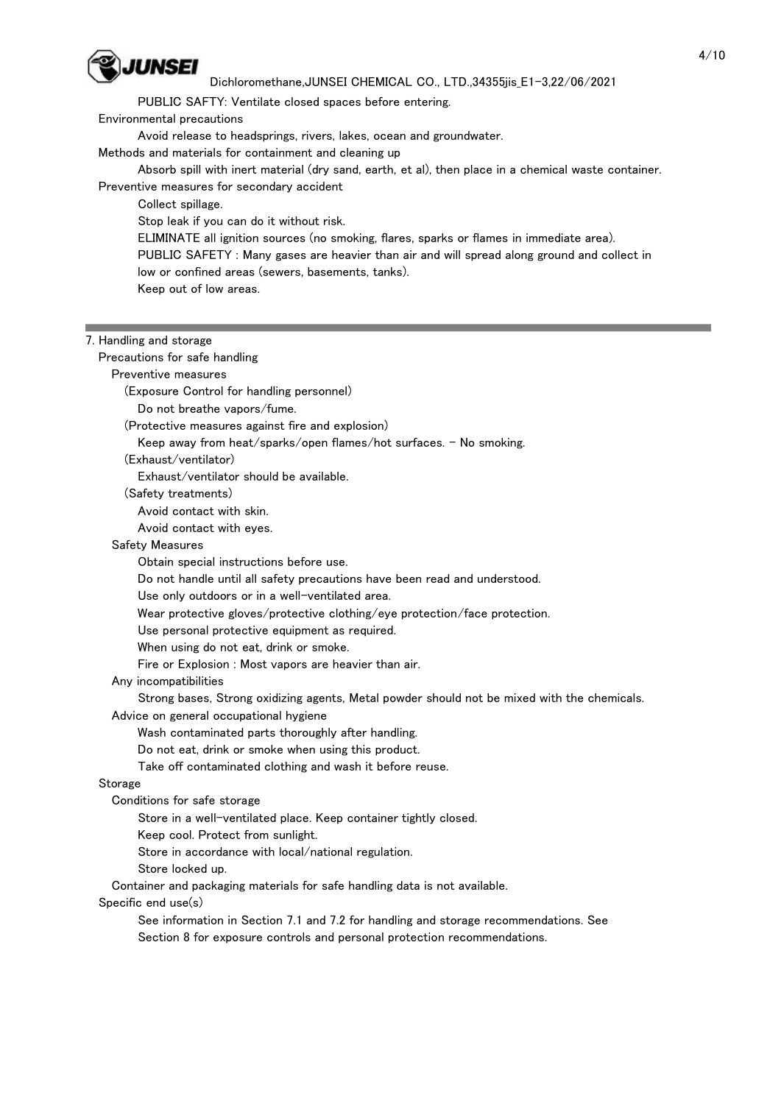

PUBLIC SAFTY: Ventilate closed spaces before entering.

Environmental precautions

Avoid release to headsprings, rivers, lakes, ocean and groundwater.

Methods and materials for containment and cleaning up

 Absorb spill with inert material (dry sand, earth, et al), then place in a chemical waste container. Preventive measures for secondary accident

Collect spillage.

Stop leak if you can do it without risk.

ELIMINATE all ignition sources (no smoking, flares, sparks or flames in immediate area).

 PUBLIC SAFETY : Many gases are heavier than air and will spread along ground and collect in low or confined areas (sewers, basements, tanks).

Keep out of low areas.

#### 7. Handling and storage

 Precautions for safe handling Preventive measures (Exposure Control for handling personnel) Do not breathe vapors/fume. (Protective measures against fire and explosion) Keep away from heat/sparks/open flames/hot surfaces. - No smoking. (Exhaust/ventilator) Exhaust/ventilator should be available. (Safety treatments) Avoid contact with skin. Avoid contact with eyes. Safety Measures Obtain special instructions before use. Do not handle until all safety precautions have been read and understood. Use only outdoors or in a well-ventilated area. Wear protective gloves/protective clothing/eye protection/face protection. Use personal protective equipment as required. When using do not eat, drink or smoke. Fire or Explosion : Most vapors are heavier than air. Any incompatibilities Strong bases, Strong oxidizing agents, Metal powder should not be mixed with the chemicals. Advice on general occupational hygiene Wash contaminated parts thoroughly after handling. Do not eat, drink or smoke when using this product. Take off contaminated clothing and wash it before reuse. Storage Conditions for safe storage Store in a well-ventilated place. Keep container tightly closed. Keep cool. Protect from sunlight. Store in accordance with local/national regulation. Store locked up. Container and packaging materials for safe handling data is not available. Specific end use(s) See information in Section 7.1 and 7.2 for handling and storage recommendations. See Section 8 for exposure controls and personal protection recommendations.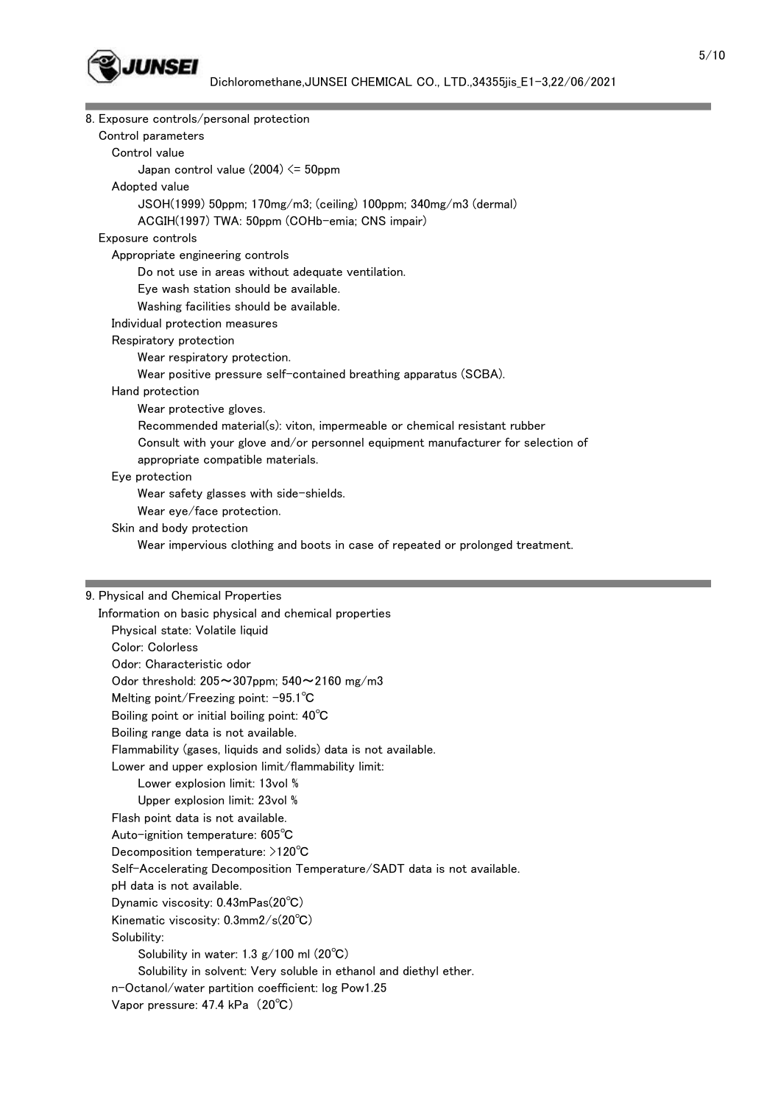

| Control parameters<br>Control value<br>Japan control value $(2004) \le 50$ ppm<br>Adopted value                                                                                                                                                                                         |  |  |  |  |
|-----------------------------------------------------------------------------------------------------------------------------------------------------------------------------------------------------------------------------------------------------------------------------------------|--|--|--|--|
|                                                                                                                                                                                                                                                                                         |  |  |  |  |
|                                                                                                                                                                                                                                                                                         |  |  |  |  |
|                                                                                                                                                                                                                                                                                         |  |  |  |  |
|                                                                                                                                                                                                                                                                                         |  |  |  |  |
| JSOH(1999) 50ppm; 170mg/m3; (ceiling) 100ppm; 340mg/m3 (dermal)                                                                                                                                                                                                                         |  |  |  |  |
| ACGIH(1997) TWA: 50ppm (COHb-emia; CNS impair)                                                                                                                                                                                                                                          |  |  |  |  |
| Exposure controls                                                                                                                                                                                                                                                                       |  |  |  |  |
| Appropriate engineering controls                                                                                                                                                                                                                                                        |  |  |  |  |
| Do not use in areas without adequate ventilation.                                                                                                                                                                                                                                       |  |  |  |  |
| Eye wash station should be available.                                                                                                                                                                                                                                                   |  |  |  |  |
| Washing facilities should be available.                                                                                                                                                                                                                                                 |  |  |  |  |
| Individual protection measures                                                                                                                                                                                                                                                          |  |  |  |  |
| Respiratory protection                                                                                                                                                                                                                                                                  |  |  |  |  |
| Wear respiratory protection.                                                                                                                                                                                                                                                            |  |  |  |  |
| Wear positive pressure self-contained breathing apparatus (SCBA).                                                                                                                                                                                                                       |  |  |  |  |
| Hand protection                                                                                                                                                                                                                                                                         |  |  |  |  |
| Wear protective gloves.                                                                                                                                                                                                                                                                 |  |  |  |  |
| Recommended material(s): viton, impermeable or chemical resistant rubber                                                                                                                                                                                                                |  |  |  |  |
| Consult with your glove and/or personnel equipment manufacturer for selection of                                                                                                                                                                                                        |  |  |  |  |
| appropriate compatible materials.                                                                                                                                                                                                                                                       |  |  |  |  |
| Eye protection                                                                                                                                                                                                                                                                          |  |  |  |  |
| Wear safety glasses with side-shields.                                                                                                                                                                                                                                                  |  |  |  |  |
| Wear eye/face protection.                                                                                                                                                                                                                                                               |  |  |  |  |
| Skin and body protection                                                                                                                                                                                                                                                                |  |  |  |  |
| Wear impervious clothing and boots in case of repeated or prolonged treatment.                                                                                                                                                                                                          |  |  |  |  |
|                                                                                                                                                                                                                                                                                         |  |  |  |  |
|                                                                                                                                                                                                                                                                                         |  |  |  |  |
| 9. Physical and Chemical Properties                                                                                                                                                                                                                                                     |  |  |  |  |
| Information on basic physical and chemical properties<br>the contract of the contract of the state of the state of the state of the state of the state of the state of the state of the state of the state of the state of the state of the state of the state of the state of the stat |  |  |  |  |

 Physical state: Volatile liquid Color: Colorless Odor: Characteristic odor Odor threshold: 205~307ppm; 540~2160 mg/m3 Melting point/Freezing point: -95.1℃ Boiling point or initial boiling point: 40℃ Boiling range data is not available. Flammability (gases, liquids and solids) data is not available. Lower and upper explosion limit/flammability limit: Lower explosion limit: 13vol % Upper explosion limit: 23vol % Flash point data is not available. Auto-ignition temperature: 605℃ Decomposition temperature: >120℃ Self-Accelerating Decomposition Temperature/SADT data is not available. pH data is not available. Dynamic viscosity: 0.43mPas(20℃) Kinematic viscosity: 0.3mm2/s(20℃) Solubility: Solubility in water: 1.3 g/100 ml (20℃) Solubility in solvent: Very soluble in ethanol and diethyl ether. n-Octanol/water partition coefficient: log Pow1.25 Vapor pressure: 47.4 kPa (20℃)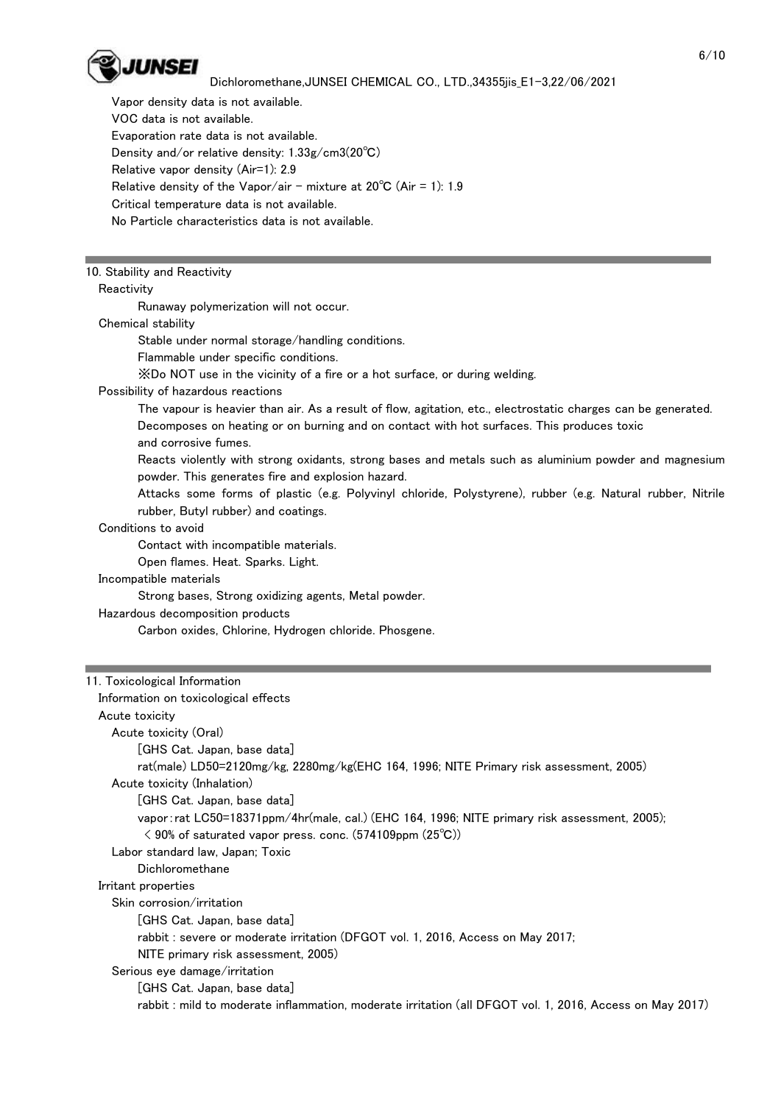

 Vapor density data is not available. VOC data is not available. Evaporation rate data is not available. Density and/or relative density: 1.33g/cm3(20℃) Relative vapor density (Air=1): 2.9 Relative density of the Vapor/air - mixture at  $20^{\circ}$ C (Air = 1): 1.9 Critical temperature data is not available. No Particle characteristics data is not available.

## 10. Stability and Reactivity

#### Reactivity

Runaway polymerization will not occur.

#### Chemical stability

Stable under normal storage/handling conditions.

- Flammable under specific conditions.
- ※Do NOT use in the vicinity of a fire or a hot surface, or during welding.

#### Possibility of hazardous reactions

 The vapour is heavier than air. As a result of flow, agitation, etc., electrostatic charges can be generated. Decomposes on heating or on burning and on contact with hot surfaces. This produces toxic

and corrosive fumes.

 Reacts violently with strong oxidants, strong bases and metals such as aluminium powder and magnesium powder. This generates fire and explosion hazard.

 Attacks some forms of plastic (e.g. Polyvinyl chloride, Polystyrene), rubber (e.g. Natural rubber, Nitrile rubber, Butyl rubber) and coatings.

#### Conditions to avoid

Contact with incompatible materials.

Open flames. Heat. Sparks. Light.

#### Incompatible materials

Strong bases, Strong oxidizing agents, Metal powder.

#### Hazardous decomposition products

Carbon oxides, Chlorine, Hydrogen chloride. Phosgene.

#### 11. Toxicological Information

 Information on toxicological effects Acute toxicity Acute toxicity (Oral) [GHS Cat. Japan, base data] rat(male) LD50=2120mg/kg, 2280mg/kg(EHC 164, 1996; NITE Primary risk assessment, 2005) Acute toxicity (Inhalation) [GHS Cat. Japan, base data] vapor:rat LC50=18371ppm/4hr(male, cal.) (EHC 164, 1996; NITE primary risk assessment, 2005); < 90% of saturated vapor press. conc. (574109ppm (25℃)) Labor standard law, Japan; Toxic Dichloromethane Irritant properties Skin corrosion/irritation [GHS Cat. Japan, base data] rabbit : severe or moderate irritation (DFGOT vol. 1, 2016, Access on May 2017; NITE primary risk assessment, 2005) Serious eye damage/irritation [GHS Cat. Japan, base data] rabbit : mild to moderate inflammation, moderate irritation (all DFGOT vol. 1, 2016, Access on May 2017)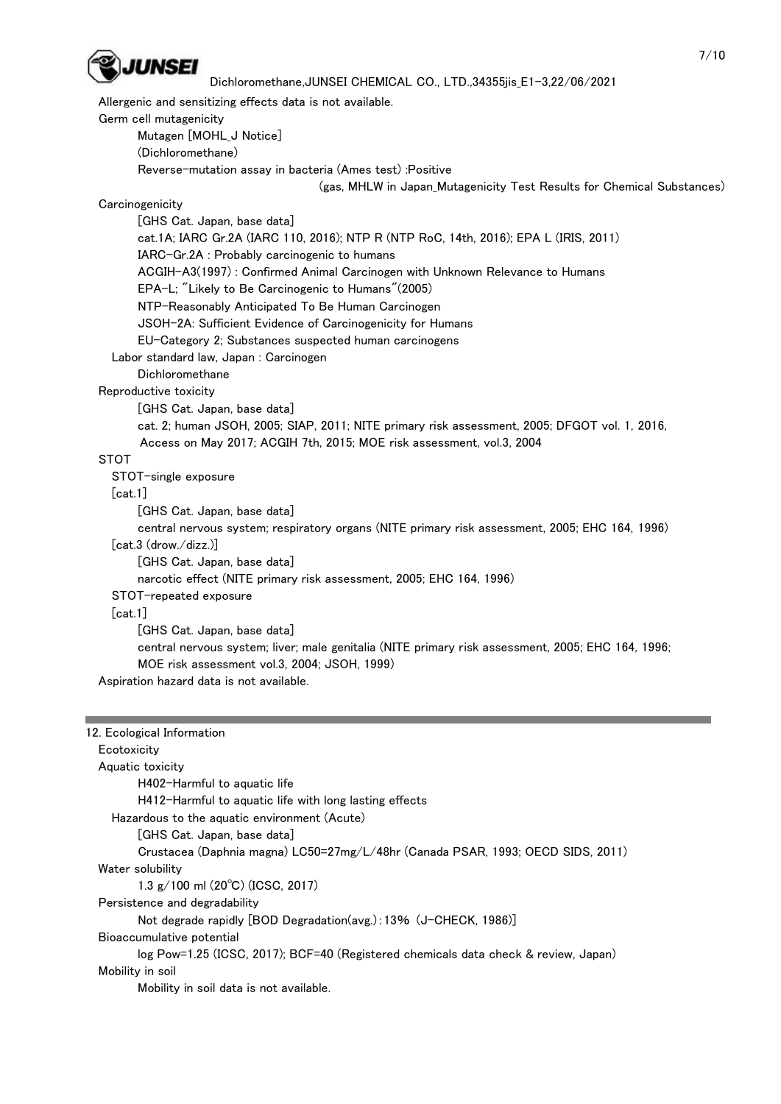

Allergenic and sensitizing effects data is not available.

Germ cell mutagenicity

Mutagen [MOHL\_J Notice]

(Dichloromethane)

Reverse-mutation assay in bacteria (Ames test) :Positive

(gas, MHLW in Japan\_Mutagenicity Test Results for Chemical Substances)

**Carcinogenicity** 

 [GHS Cat. Japan, base data] cat.1A; IARC Gr.2A (IARC 110, 2016); NTP R (NTP RoC, 14th, 2016); EPA L (IRIS, 2011) IARC-Gr.2A : Probably carcinogenic to humans ACGIH-A3(1997) : Confirmed Animal Carcinogen with Unknown Relevance to Humans EPA-L; "Likely to Be Carcinogenic to Humans"(2005) NTP-Reasonably Anticipated To Be Human Carcinogen JSOH-2A: Sufficient Evidence of Carcinogenicity for Humans EU-Category 2; Substances suspected human carcinogens Labor standard law, Japan : Carcinogen Dichloromethane Reproductive toxicity [GHS Cat. Japan, base data] cat. 2; human JSOH, 2005; SIAP, 2011; NITE primary risk assessment, 2005; DFGOT vol. 1, 2016, Access on May 2017; ACGIH 7th, 2015; MOE risk assessment, vol.3, 2004 STOT STOT-single exposure [cat.1] [GHS Cat. Japan, base data] central nervous system; respiratory organs (NITE primary risk assessment, 2005; EHC 164, 1996) [cat.3 (drow./dizz.)] [GHS Cat. Japan, base data] narcotic effect (NITE primary risk assessment, 2005; EHC 164, 1996) STOT-repeated exposure [cat.1] [GHS Cat. Japan, base data] central nervous system; liver; male genitalia (NITE primary risk assessment, 2005; EHC 164, 1996; MOE risk assessment vol.3, 2004; JSOH, 1999) Aspiration hazard data is not available.

| 12. Ecological Information                                                          |  |  |  |  |
|-------------------------------------------------------------------------------------|--|--|--|--|
| Ecotoxicity                                                                         |  |  |  |  |
| Aquatic toxicity                                                                    |  |  |  |  |
| H402-Harmful to aguatic life                                                        |  |  |  |  |
| H412-Harmful to aquatic life with long lasting effects                              |  |  |  |  |
| Hazardous to the aquatic environment (Acute)                                        |  |  |  |  |
| [GHS Cat. Japan, base data]                                                         |  |  |  |  |
| Crustacea (Daphnia magna) LC50=27mg/L/48hr (Canada PSAR, 1993; OECD SIDS, 2011)     |  |  |  |  |
| Water solubility                                                                    |  |  |  |  |
| 1.3 $g/100$ ml (20 $^{\circ}$ C) (ICSC, 2017)                                       |  |  |  |  |
| Persistence and degradability                                                       |  |  |  |  |
| Not degrade rapidly [BOD Degradation(avg.): 13% (J-CHECK, 1986)]                    |  |  |  |  |
| Bioaccumulative potential                                                           |  |  |  |  |
| log Pow=1.25 (ICSC, 2017); BCF=40 (Registered chemicals data check & review, Japan) |  |  |  |  |
| Mobility in soil                                                                    |  |  |  |  |
| Mobility in soil data is not available.                                             |  |  |  |  |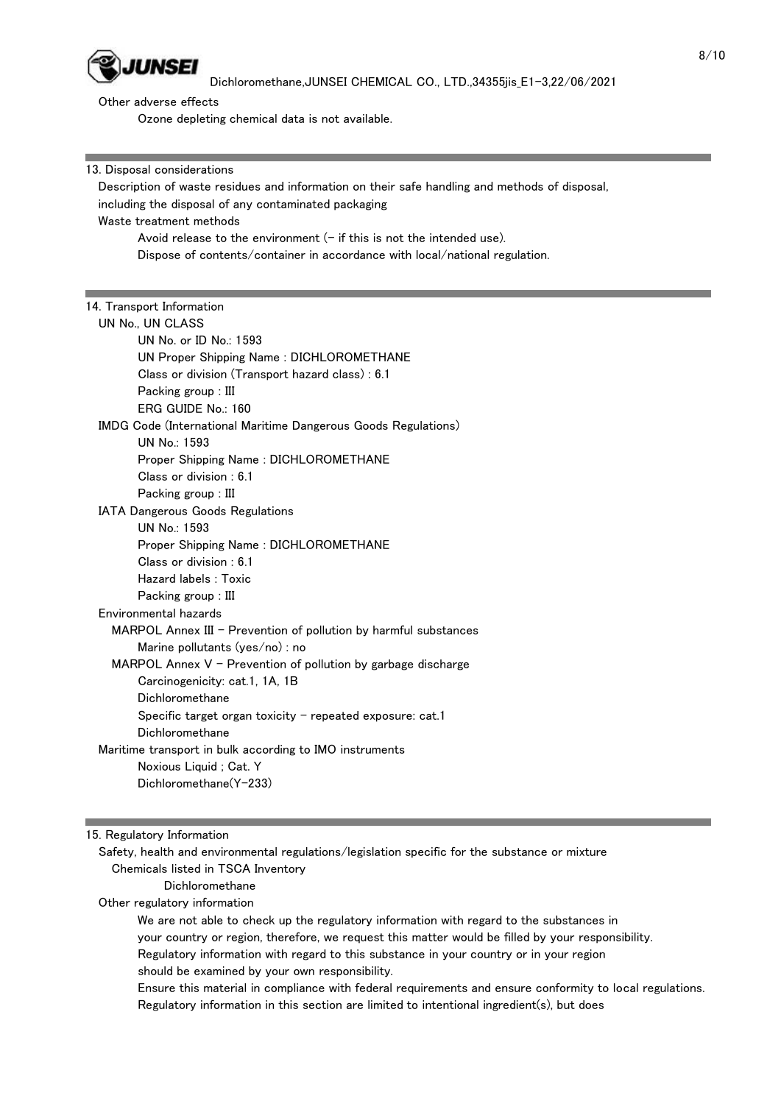

Other adverse effects

Ozone depleting chemical data is not available.

13. Disposal considerations

 Description of waste residues and information on their safe handling and methods of disposal, including the disposal of any contaminated packaging Waste treatment methods Avoid release to the environment  $(-$  if this is not the intended use).

Dispose of contents/container in accordance with local/national regulation.

## 14. Transport Information

 UN No., UN CLASS UN No. or ID No.: 1593 UN Proper Shipping Name : DICHLOROMETHANE Class or division (Transport hazard class) : 6.1 Packing group : III ERG GUIDE No.: 160

IMDG Code (International Maritime Dangerous Goods Regulations)

UN No.: 1593

Proper Shipping Name : DICHLOROMETHANE

Class or division : 6.1

Packing group : III

IATA Dangerous Goods Regulations

 UN No.: 1593 Proper Shipping Name : DICHLOROMETHANE

Class or division : 6.1

Hazard labels : Toxic

Packing group : III

Environmental hazards

MARPOL Annex  $III$  - Prevention of pollution by harmful substances Marine pollutants (yes/no) : no

MARPOL Annex  $V$  - Prevention of pollution by garbage discharge

 Carcinogenicity: cat.1, 1A, 1B Dichloromethane

Specific target organ toxicity  $-$  repeated exposure: cat.1

Dichloromethane

Maritime transport in bulk according to IMO instruments

Noxious Liquid ; Cat. Y

Dichloromethane(Y-233)

15. Regulatory Information

 Safety, health and environmental regulations/legislation specific for the substance or mixture Chemicals listed in TSCA Inventory

Dichloromethane

Other regulatory information

 We are not able to check up the regulatory information with regard to the substances in your country or region, therefore, we request this matter would be filled by your responsibility. Regulatory information with regard to this substance in your country or in your region should be examined by your own responsibility.

 Ensure this material in compliance with federal requirements and ensure conformity to local regulations. Regulatory information in this section are limited to intentional ingredient(s), but does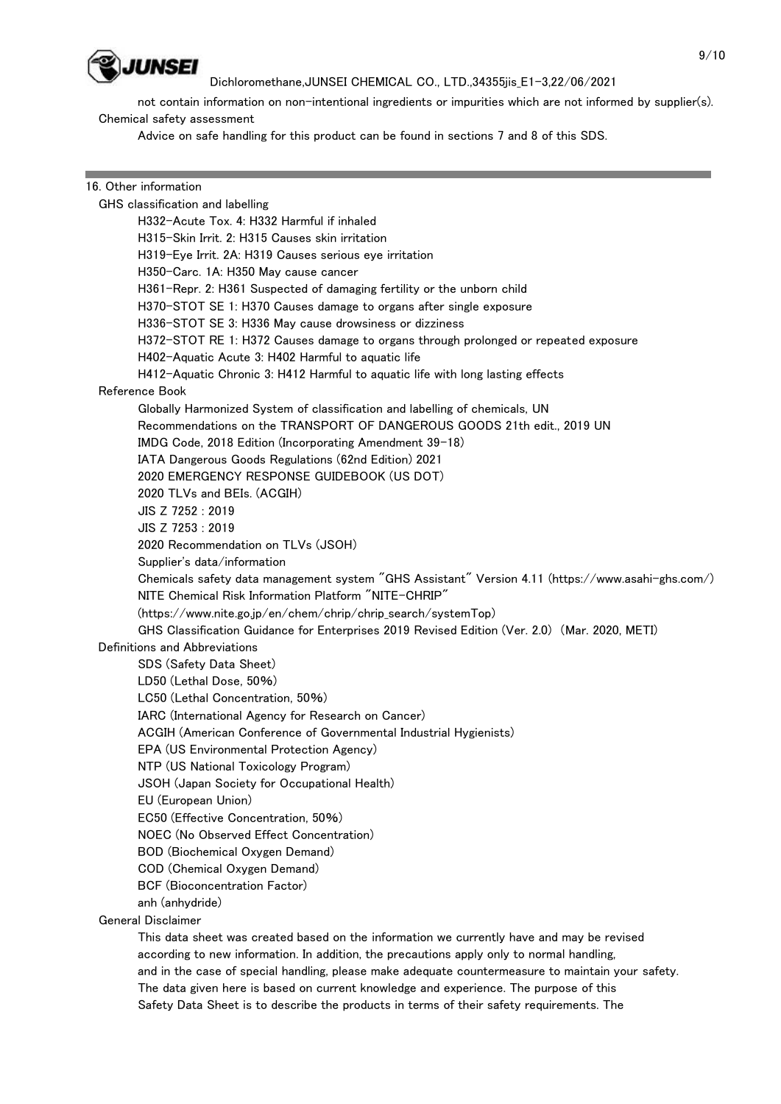

 not contain information on non-intentional ingredients or impurities which are not informed by supplier(s). Chemical safety assessment

Advice on safe handling for this product can be found in sections 7 and 8 of this SDS.

## 16. Other information GHS classification and labelling H332-Acute Tox. 4: H332 Harmful if inhaled H315-Skin Irrit. 2: H315 Causes skin irritation H319-Eye Irrit. 2A: H319 Causes serious eye irritation H350-Carc. 1A: H350 May cause cancer H361-Repr. 2: H361 Suspected of damaging fertility or the unborn child H370-STOT SE 1: H370 Causes damage to organs after single exposure H336-STOT SE 3: H336 May cause drowsiness or dizziness H372-STOT RE 1: H372 Causes damage to organs through prolonged or repeated exposure H402-Aquatic Acute 3: H402 Harmful to aquatic life H412-Aquatic Chronic 3: H412 Harmful to aquatic life with long lasting effects Reference Book Globally Harmonized System of classification and labelling of chemicals, UN Recommendations on the TRANSPORT OF DANGEROUS GOODS 21th edit., 2019 UN IMDG Code, 2018 Edition (Incorporating Amendment 39-18) IATA Dangerous Goods Regulations (62nd Edition) 2021 2020 EMERGENCY RESPONSE GUIDEBOOK (US DOT) 2020 TLVs and BEIs. (ACGIH) JIS Z 7252 : 2019 JIS Z 7253 : 2019 2020 Recommendation on TLVs (JSOH) Supplier's data/information Chemicals safety data management system "GHS Assistant" Version 4.11 (https://www.asahi-ghs.com/) NITE Chemical Risk Information Platform "NITE-CHRIP" (https://www.nite.go.jp/en/chem/chrip/chrip\_search/systemTop) GHS Classification Guidance for Enterprises 2019 Revised Edition (Ver. 2.0) (Mar. 2020, METI) Definitions and Abbreviations SDS (Safety Data Sheet) LD50 (Lethal Dose, 50%) LC50 (Lethal Concentration, 50%) IARC (International Agency for Research on Cancer) ACGIH (American Conference of Governmental Industrial Hygienists) EPA (US Environmental Protection Agency) NTP (US National Toxicology Program) JSOH (Japan Society for Occupational Health) EU (European Union) EC50 (Effective Concentration, 50%) NOEC (No Observed Effect Concentration) BOD (Biochemical Oxygen Demand) COD (Chemical Oxygen Demand) BCF (Bioconcentration Factor) anh (anhydride) General Disclaimer This data sheet was created based on the information we currently have and may be revised according to new information. In addition, the precautions apply only to normal handling,

 and in the case of special handling, please make adequate countermeasure to maintain your safety. The data given here is based on current knowledge and experience. The purpose of this Safety Data Sheet is to describe the products in terms of their safety requirements. The